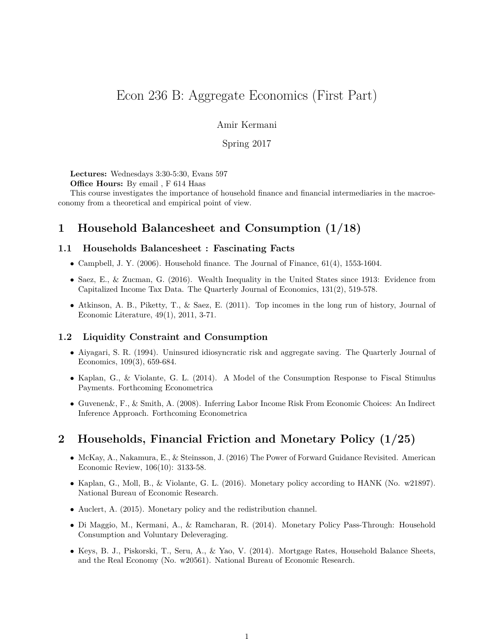# Econ 236 B: Aggregate Economics (First Part)

Amir Kermani

Spring 2017

**Lectures:** Wednesdays 3:30-5:30, Evans 597

**Office Hours:** By email , F 614 Haas

This course investigates the importance of household finance and financial intermediaries in the macroeconomy from a theoretical and empirical point of view.

## **1 Household Balancesheet and Consumption (1/18)**

### **1.1 Households Balancesheet : Fascinating Facts**

- Campbell, J. Y. (2006). Household finance. The Journal of Finance,  $61(4)$ , 1553-1604.
- Saez, E., & Zucman, G. (2016). Wealth Inequality in the United States since 1913: Evidence from Capitalized Income Tax Data. The Quarterly Journal of Economics, 131(2), 519-578.
- Atkinson, A. B., Piketty, T., & Saez, E. (2011). Top incomes in the long run of history, Journal of Economic Literature, 49(1), 2011, 3-71.

### **1.2 Liquidity Constraint and Consumption**

- Aiyagari, S. R. (1994). Uninsured idiosyncratic risk and aggregate saving. The Quarterly Journal of Economics, 109(3), 659-684.
- Kaplan, G., & Violante, G. L. (2014). A Model of the Consumption Response to Fiscal Stimulus Payments. Forthcoming Econometrica
- Guvenen&, F., & Smith, A. (2008). Inferring Labor Income Risk From Economic Choices: An Indirect Inference Approach. Forthcoming Econometrica

## **2 Households, Financial Friction and Monetary Policy (1/25)**

- McKay, A., Nakamura, E., & Steinsson, J. (2016) The Power of Forward Guidance Revisited. American Economic Review, 106(10): 3133-58.
- Kaplan, G., Moll, B., & Violante, G. L. (2016). Monetary policy according to HANK (No. w21897). National Bureau of Economic Research.
- Auclert, A. (2015). Monetary policy and the redistribution channel.
- Di Maggio, M., Kermani, A., & Ramcharan, R. (2014). Monetary Policy Pass-Through: Household Consumption and Voluntary Deleveraging.
- Keys, B. J., Piskorski, T., Seru, A., & Yao, V. (2014). Mortgage Rates, Household Balance Sheets, and the Real Economy (No. w20561). National Bureau of Economic Research.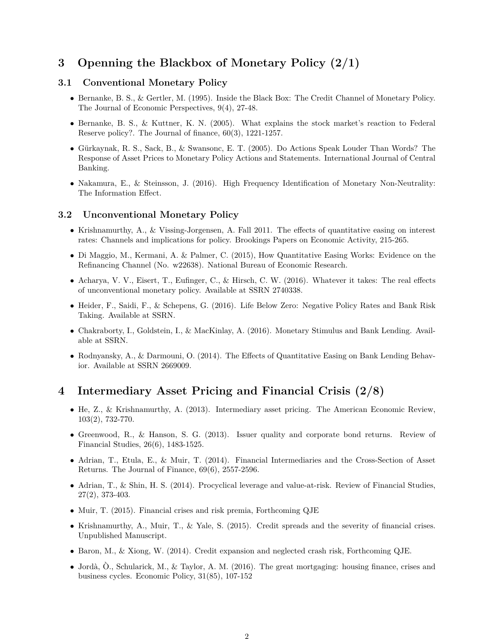# **3 Openning the Blackbox of Monetary Policy (2/1)**

### **3.1 Conventional Monetary Policy**

- Bernanke, B. S., & Gertler, M. (1995). Inside the Black Box: The Credit Channel of Monetary Policy. The Journal of Economic Perspectives, 9(4), 27-48.
- Bernanke, B. S., & Kuttner, K. N. (2005). What explains the stock market's reaction to Federal Reserve policy?. The Journal of finance, 60(3), 1221-1257.
- Gürkaynak, R. S., Sack, B., & Swansonc, E. T. (2005). Do Actions Speak Louder Than Words? The Response of Asset Prices to Monetary Policy Actions and Statements. International Journal of Central Banking.
- Nakamura, E., & Steinsson, J. (2016). High Frequency Identification of Monetary Non-Neutrality: The Information Effect.

#### **3.2 Unconventional Monetary Policy**

- Krishnamurthy, A., & Vissing-Jorgensen, A. Fall 2011. The effects of quantitative easing on interest rates: Channels and implications for policy. Brookings Papers on Economic Activity, 215-265.
- Di Maggio, M., Kermani, A. & Palmer, C. (2015), How Quantitative Easing Works: Evidence on the Refinancing Channel (No. w22638). National Bureau of Economic Research.
- Acharya, V. V., Eisert, T., Eufinger, C., & Hirsch, C. W. (2016). Whatever it takes: The real effects of unconventional monetary policy. Available at SSRN 2740338.
- Heider, F., Saidi, F., & Schepens, G. (2016). Life Below Zero: Negative Policy Rates and Bank Risk Taking. Available at SSRN.
- Chakraborty, I., Goldstein, I., & MacKinlay, A. (2016). Monetary Stimulus and Bank Lending. Available at SSRN.
- Rodnyansky, A., & Darmouni, O. (2014). The Effects of Quantitative Easing on Bank Lending Behavior. Available at SSRN 2669009.

## **4 Intermediary Asset Pricing and Financial Crisis (2/8)**

- He, Z., & Krishnamurthy, A. (2013). Intermediary asset pricing. The American Economic Review, 103(2), 732-770.
- Greenwood, R., & Hanson, S. G. (2013). Issuer quality and corporate bond returns. Review of Financial Studies, 26(6), 1483-1525.
- Adrian, T., Etula, E., & Muir, T. (2014). Financial Intermediaries and the Cross-Section of Asset Returns. The Journal of Finance, 69(6), 2557-2596.
- Adrian, T., & Shin, H. S. (2014). Procyclical leverage and value-at-risk. Review of Financial Studies, 27(2), 373-403.
- Muir, T. (2015). Financial crises and risk premia, Forthcoming QJE
- Krishnamurthy, A., Muir, T., & Yale, S. (2015). Credit spreads and the severity of financial crises. Unpublished Manuscript.
- Baron, M., & Xiong, W. (2014). Credit expansion and neglected crash risk, Forthcoming QJE.
- Jordà, Ò., Schularick, M., & Taylor, A. M. (2016). The great mortgaging: housing finance, crises and business cycles. Economic Policy, 31(85), 107-152